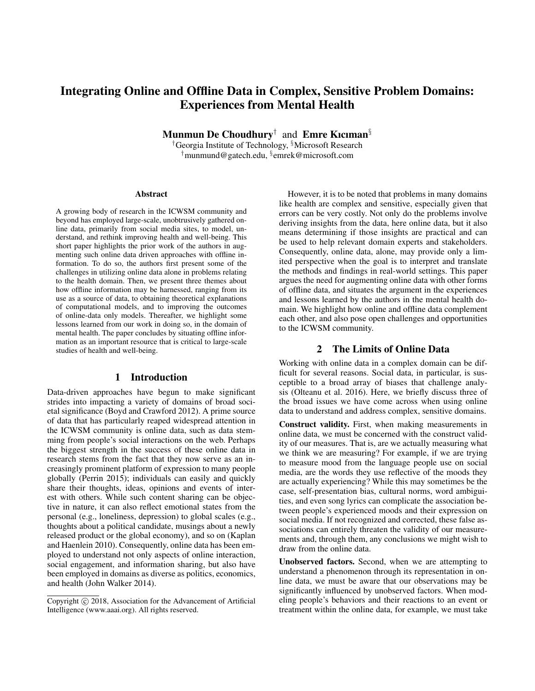# Integrating Online and Offline Data in Complex, Sensitive Problem Domains: Experiences from Mental Health

Munmun De Choudhury<sup>†</sup> and Emre Kıcıman<sup>§</sup>

†Georgia Institute of Technology, §Microsoft Research †munmund@gatech.edu, § emrek@microsoft.com

#### Abstract

A growing body of research in the ICWSM community and beyond has employed large-scale, unobtrusively gathered online data, primarily from social media sites, to model, understand, and rethink improving health and well-being. This short paper highlights the prior work of the authors in augmenting such online data driven approaches with offline information. To do so, the authors first present some of the challenges in utilizing online data alone in problems relating to the health domain. Then, we present three themes about how offline information may be harnessed, ranging from its use as a source of data, to obtaining theoretical explanations of computational models, and to improving the outcomes of online-data only models. Thereafter, we highlight some lessons learned from our work in doing so, in the domain of mental health. The paper concludes by situating offline information as an important resource that is critical to large-scale studies of health and well-being.

#### 1 Introduction

Data-driven approaches have begun to make significant strides into impacting a variety of domains of broad societal significance (Boyd and Crawford 2012). A prime source of data that has particularly reaped widespread attention in the ICWSM community is online data, such as data stemming from people's social interactions on the web. Perhaps the biggest strength in the success of these online data in research stems from the fact that they now serve as an increasingly prominent platform of expression to many people globally (Perrin 2015); individuals can easily and quickly share their thoughts, ideas, opinions and events of interest with others. While such content sharing can be objective in nature, it can also reflect emotional states from the personal (e.g., loneliness, depression) to global scales (e.g., thoughts about a political candidate, musings about a newly released product or the global economy), and so on (Kaplan and Haenlein 2010). Consequently, online data has been employed to understand not only aspects of online interaction, social engagement, and information sharing, but also have been employed in domains as diverse as politics, economics, and health (John Walker 2014).

However, it is to be noted that problems in many domains like health are complex and sensitive, especially given that errors can be very costly. Not only do the problems involve deriving insights from the data, here online data, but it also means determining if those insights are practical and can be used to help relevant domain experts and stakeholders. Consequently, online data, alone, may provide only a limited perspective when the goal is to interpret and translate the methods and findings in real-world settings. This paper argues the need for augmenting online data with other forms of offline data, and situates the argument in the experiences and lessons learned by the authors in the mental health domain. We highlight how online and offline data complement each other, and also pose open challenges and opportunities to the ICWSM community.

### 2 The Limits of Online Data

Working with online data in a complex domain can be difficult for several reasons. Social data, in particular, is susceptible to a broad array of biases that challenge analysis (Olteanu et al. 2016). Here, we briefly discuss three of the broad issues we have come across when using online data to understand and address complex, sensitive domains.

Construct validity. First, when making measurements in online data, we must be concerned with the construct validity of our measures. That is, are we actually measuring what we think we are measuring? For example, if we are trying to measure mood from the language people use on social media, are the words they use reflective of the moods they are actually experiencing? While this may sometimes be the case, self-presentation bias, cultural norms, word ambiguities, and even song lyrics can complicate the association between people's experienced moods and their expression on social media. If not recognized and corrected, these false associations can entirely threaten the validity of our measurements and, through them, any conclusions we might wish to draw from the online data.

Unobserved factors. Second, when we are attempting to understand a phenomenon through its representation in online data, we must be aware that our observations may be significantly influenced by unobserved factors. When modeling people's behaviors and their reactions to an event or treatment within the online data, for example, we must take

Copyright  $\odot$  2018, Association for the Advancement of Artificial Intelligence (www.aaai.org). All rights reserved.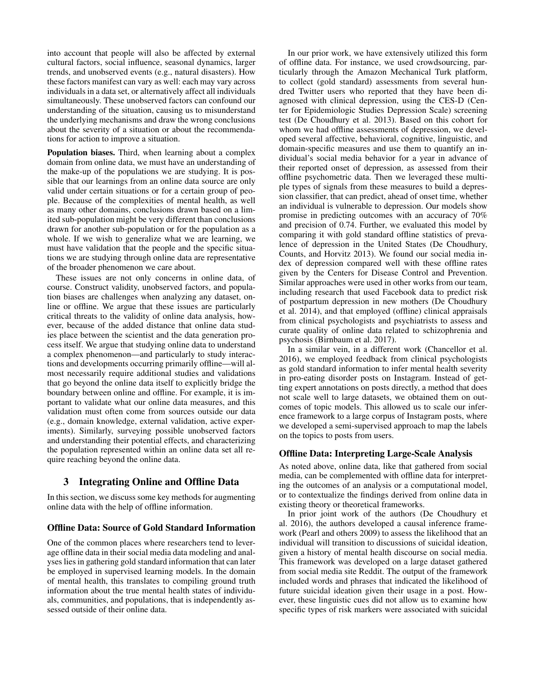into account that people will also be affected by external cultural factors, social influence, seasonal dynamics, larger trends, and unobserved events (e.g., natural disasters). How these factors manifest can vary as well: each may vary across individuals in a data set, or alternatively affect all individuals simultaneously. These unobserved factors can confound our understanding of the situation, causing us to misunderstand the underlying mechanisms and draw the wrong conclusions about the severity of a situation or about the recommendations for action to improve a situation.

Population biases. Third, when learning about a complex domain from online data, we must have an understanding of the make-up of the populations we are studying. It is possible that our learnings from an online data source are only valid under certain situations or for a certain group of people. Because of the complexities of mental health, as well as many other domains, conclusions drawn based on a limited sub-population might be very different than conclusions drawn for another sub-population or for the population as a whole. If we wish to generalize what we are learning, we must have validation that the people and the specific situations we are studying through online data are representative of the broader phenomenon we care about.

These issues are not only concerns in online data, of course. Construct validity, unobserved factors, and population biases are challenges when analyzing any dataset, online or offline. We argue that these issues are particularly critical threats to the validity of online data analysis, however, because of the added distance that online data studies place between the scientist and the data generation process itself. We argue that studying online data to understand a complex phenomenon—and particularly to study interactions and developments occurring primarily offline—will almost necessarily require additional studies and validations that go beyond the online data itself to explicitly bridge the boundary between online and offline. For example, it is important to validate what our online data measures, and this validation must often come from sources outside our data (e.g., domain knowledge, external validation, active experiments). Similarly, surveying possible unobserved factors and understanding their potential effects, and characterizing the population represented within an online data set all require reaching beyond the online data.

# 3 Integrating Online and Offline Data

In this section, we discuss some key methods for augmenting online data with the help of offline information.

### Offline Data: Source of Gold Standard Information

One of the common places where researchers tend to leverage offline data in their social media data modeling and analyses lies in gathering gold standard information that can later be employed in supervised learning models. In the domain of mental health, this translates to compiling ground truth information about the true mental health states of individuals, communities, and populations, that is independently assessed outside of their online data.

In our prior work, we have extensively utilized this form of offline data. For instance, we used crowdsourcing, particularly through the Amazon Mechanical Turk platform, to collect (gold standard) assessments from several hundred Twitter users who reported that they have been diagnosed with clinical depression, using the CES-D (Center for Epidemiologic Studies Depression Scale) screening test (De Choudhury et al. 2013). Based on this cohort for whom we had offline assessments of depression, we developed several affective, behavioral, cognitive, linguistic, and domain-specific measures and use them to quantify an individual's social media behavior for a year in advance of their reported onset of depression, as assessed from their offline psychometric data. Then we leveraged these multiple types of signals from these measures to build a depression classifier, that can predict, ahead of onset time, whether an individual is vulnerable to depression. Our models show promise in predicting outcomes with an accuracy of 70% and precision of 0.74. Further, we evaluated this model by comparing it with gold standard offline statistics of prevalence of depression in the United States (De Choudhury, Counts, and Horvitz 2013). We found our social media index of depression compared well with these offline rates given by the Centers for Disease Control and Prevention. Similar approaches were used in other works from our team, including research that used Facebook data to predict risk of postpartum depression in new mothers (De Choudhury et al. 2014), and that employed (offline) clinical appraisals from clinical psychologists and psychiatrists to assess and curate quality of online data related to schizophrenia and psychosis (Birnbaum et al. 2017).

In a similar vein, in a different work (Chancellor et al. 2016), we employed feedback from clinical psychologists as gold standard information to infer mental health severity in pro-eating disorder posts on Instagram. Instead of getting expert annotations on posts directly, a method that does not scale well to large datasets, we obtained them on outcomes of topic models. This allowed us to scale our inference framework to a large corpus of Instagram posts, where we developed a semi-supervised approach to map the labels on the topics to posts from users.

### Offline Data: Interpreting Large-Scale Analysis

As noted above, online data, like that gathered from social media, can be complemented with offline data for interpreting the outcomes of an analysis or a computational model, or to contextualize the findings derived from online data in existing theory or theoretical frameworks.

In prior joint work of the authors (De Choudhury et al. 2016), the authors developed a causal inference framework (Pearl and others 2009) to assess the likelihood that an individual will transition to discussions of suicidal ideation, given a history of mental health discourse on social media. This framework was developed on a large dataset gathered from social media site Reddit. The output of the framework included words and phrases that indicated the likelihood of future suicidal ideation given their usage in a post. However, these linguistic cues did not allow us to examine how specific types of risk markers were associated with suicidal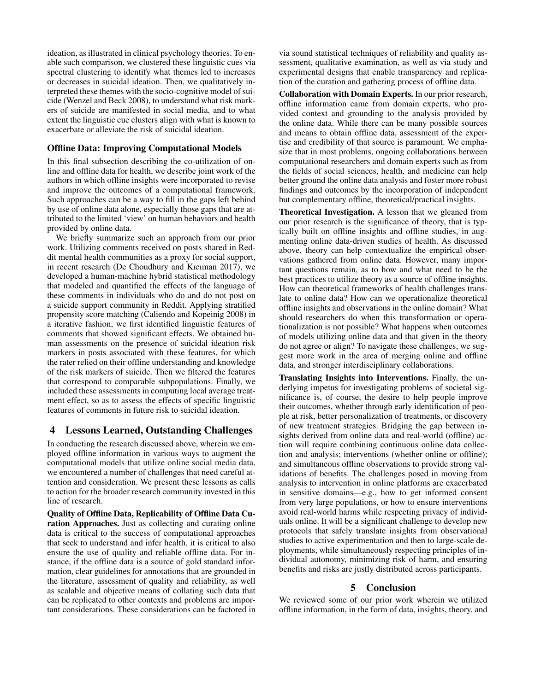ideation, as illustrated in clinical psychology theories. To enable such comparison, we clustered these linguistic cues via spectral clustering to identify what themes led to increases or decreases in suicidal ideation. Then, we qualitatively interpreted these themes with the socio-cognitive model of suicide (Wenzel and Beck 2008), to understand what risk markers of suicide are manifested in social media, and to what extent the linguistic cue clusters align with what is known to exacerbate or alleviate the risk of suicidal ideation.

## Offline Data: Improving Computational Models

In this final subsection describing the co-utilization of online and offline data for health, we describe joint work of the authors in which offline insights were incorporated to revise and improve the outcomes of a computational framework. Such approaches can be a way to fill in the gaps left behind by use of online data alone, especially those gaps that are attributed to the limited 'view' on human behaviors and health provided by online data.

We briefly summarize such an approach from our prior work. Utilizing comments received on posts shared in Reddit mental health communities as a proxy for social support, in recent research (De Choudhury and Kıcıman 2017), we developed a human-machine hybrid statistical methodology that modeled and quantified the effects of the language of these comments in individuals who do and do not post on a suicide support community in Reddit. Applying stratified propensity score matching (Caliendo and Kopeinig 2008) in a iterative fashion, we first identified linguistic features of comments that showed significant effects. We obtained human assessments on the presence of suicidal ideation risk markers in posts associated with these features, for which the rater relied on their offline understanding and knowledge of the risk markers of suicide. Then we filtered the features that correspond to comparable subpopulations. Finally, we included these assessments in computing local average treatment effect, so as to assess the effects of specific linguistic features of comments in future risk to suicidal ideation.

# 4 Lessons Learned, Outstanding Challenges

In conducting the research discussed above, wherein we employed offline information in various ways to augment the computational models that utilize online social media data, we encountered a number of challenges that need careful attention and consideration. We present these lessons as calls to action for the broader research community invested in this line of research.

Quality of Offline Data, Replicability of Offline Data Curation Approaches. Just as collecting and curating online data is critical to the success of computational approaches that seek to understand and infer health, it is critical to also ensure the use of quality and reliable offline data. For instance, if the offline data is a source of gold standard information, clear guidelines for annotations that are grounded in the literature, assessment of quality and reliability, as well as scalable and objective means of collating such data that can be replicated to other contexts and problems are important considerations. These considerations can be factored in

via sound statistical techniques of reliability and quality assessment, qualitative examination, as well as via study and experimental designs that enable transparency and replication of the curation and gathering process of offline data.

Collaboration with Domain Experts. In our prior research, offline information came from domain experts, who provided context and grounding to the analysis provided by the online data. While there can be many possible sources and means to obtain offline data, assessment of the expertise and credibility of that source is paramount. We emphasize that in most problems, ongoing collaborations between computational researchers and domain experts such as from the fields of social sciences, health, and medicine can help better ground the online data analysis and foster more robust findings and outcomes by the incorporation of independent but complementary offline, theoretical/practical insights.

Theoretical Investigation. A lesson that we gleaned from our prior research is the significance of theory, that is typically built on offline insights and offline studies, in augmenting online data-driven studies of health. As discussed above, theory can help contextualize the empirical observations gathered from online data. However, many important questions remain, as to how and what need to be the best practices to utilize theory as a source of offline insights. How can theoretical frameworks of health challenges translate to online data? How can we operationalize theoretical offline insights and observations in the online domain? What should researchers do when this transformation or operationalization is not possible? What happens when outcomes of models utilizing online data and that given in the theory do not agree or align? To navigate these challenges, we suggest more work in the area of merging online and offline data, and stronger interdisciplinary collaborations.

Translating Insights into Interventions. Finally, the underlying impetus for investigating problems of societal significance is, of course, the desire to help people improve their outcomes, whether through early identification of people at risk, better personalization of treatments, or discovery of new treatment strategies. Bridging the gap between insights derived from online data and real-world (offline) action will require combining continuous online data collection and analysis; interventions (whether online or offline); and simultaneous offline observations to provide strong validations of benefits. The challenges posed in moving from analysis to intervention in online platforms are exacerbated in sensitive domains—e.g., how to get informed consent from very large populations, or how to ensure interventions avoid real-world harms while respecting privacy of individuals online. It will be a significant challenge to develop new protocols that safely translate insights from observational studies to active experimentation and then to large-scale deployments, while simultaneously respecting principles of individual autonomy, minimizing risk of harm, and ensuring benefits and risks are justly distributed across participants.

#### 5 Conclusion

We reviewed some of our prior work wherein we utilized offline information, in the form of data, insights, theory, and